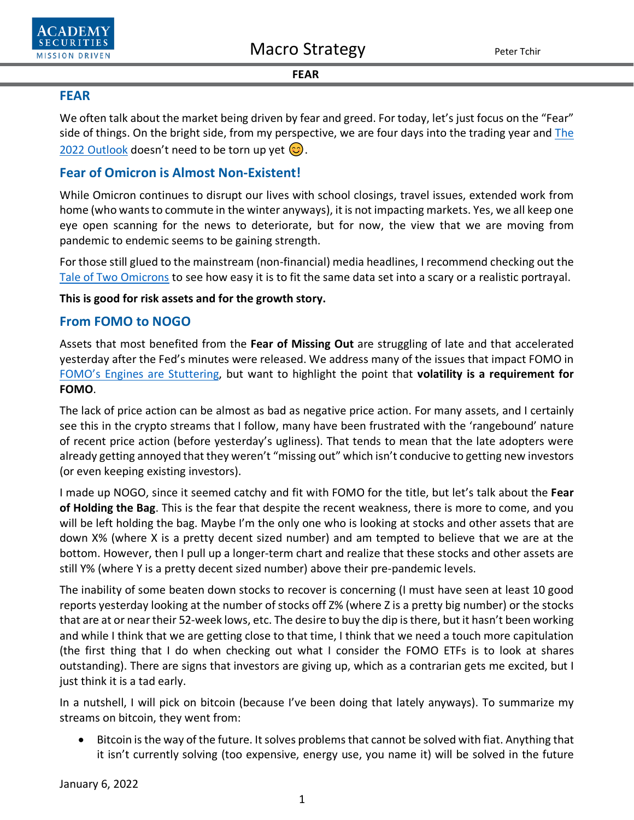



#### *FEAR*

### **FEAR**

We often talk about the market being driven by fear and greed. For today, let's just focus on the "Fear" side of things. On the bright side, from my perspective, we are four days into the trading year and [The](https://www.academysecurities.com/wordpress/wp-content/uploads/2022/01/The-2022-Outlook.pdf)  [2022 Outlook](https://www.academysecurities.com/wordpress/wp-content/uploads/2022/01/The-2022-Outlook.pdf) doesn't need to be torn up yet  $\circled{c}$ .

## **Fear of Omicron is Almost Non-Existent!**

While Omicron continues to disrupt our lives with school closings, travel issues, extended work from home (who wants to commute in the winter anyways), it is not impacting markets. Yes, we all keep one eye open scanning for the news to deteriorate, but for now, the view that we are moving from pandemic to endemic seems to be gaining strength.

For those still glued to the mainstream (non-financial) media headlines, I recommend checking out the [Tale of Two Omicrons](https://www.academysecurities.com/wordpress/wp-content/uploads/2021/12/A-Tale-of-Two-Omicrons.pdf) to see how easy it is to fit the same data set into a scary or a realistic portrayal.

**This is good for risk assets and for the growth story.**

### **From FOMO to NOGO**

Assets that most benefited from the **Fear of Missing Out** are struggling of late and that accelerated yesterday after the Fed's minutes were released. We address many of the issues that impact FOMO in [FOMO's Engines are Stuttering,](https://www.academysecurities.com/wordpress/wp-content/uploads/2021/12/TINA-BOGO-and-FOMOs-Engines-are-Stuttering.pdf) but want to highlight the point that **volatility is a requirement for FOMO**.

The lack of price action can be almost as bad as negative price action. For many assets, and I certainly see this in the crypto streams that I follow, many have been frustrated with the 'rangebound' nature of recent price action (before yesterday's ugliness). That tends to mean that the late adopters were already getting annoyed that they weren't "missing out" which isn't conducive to getting new investors (or even keeping existing investors).

I made up NOGO, since it seemed catchy and fit with FOMO for the title, but let's talk about the **Fear of Holding the Bag**. This is the fear that despite the recent weakness, there is more to come, and you will be left holding the bag. Maybe I'm the only one who is looking at stocks and other assets that are down X% (where X is a pretty decent sized number) and am tempted to believe that we are at the bottom. However, then I pull up a longer-term chart and realize that these stocks and other assets are still Y% (where Y is a pretty decent sized number) above their pre-pandemic levels.

The inability of some beaten down stocks to recover is concerning (I must have seen at least 10 good reports yesterday looking at the number of stocks off Z% (where Z is a pretty big number) or the stocks that are at or near their 52-week lows, etc. The desire to buy the dip is there, but it hasn't been working and while I think that we are getting close to that time, I think that we need a touch more capitulation (the first thing that I do when checking out what I consider the FOMO ETFs is to look at shares outstanding). There are signs that investors are giving up, which as a contrarian gets me excited, but I just think it is a tad early.

In a nutshell, I will pick on bitcoin (because I've been doing that lately anyways). To summarize my streams on bitcoin, they went from:

• Bitcoin is the way of the future. It solves problems that cannot be solved with fiat. Anything that it isn't currently solving (too expensive, energy use, you name it) will be solved in the future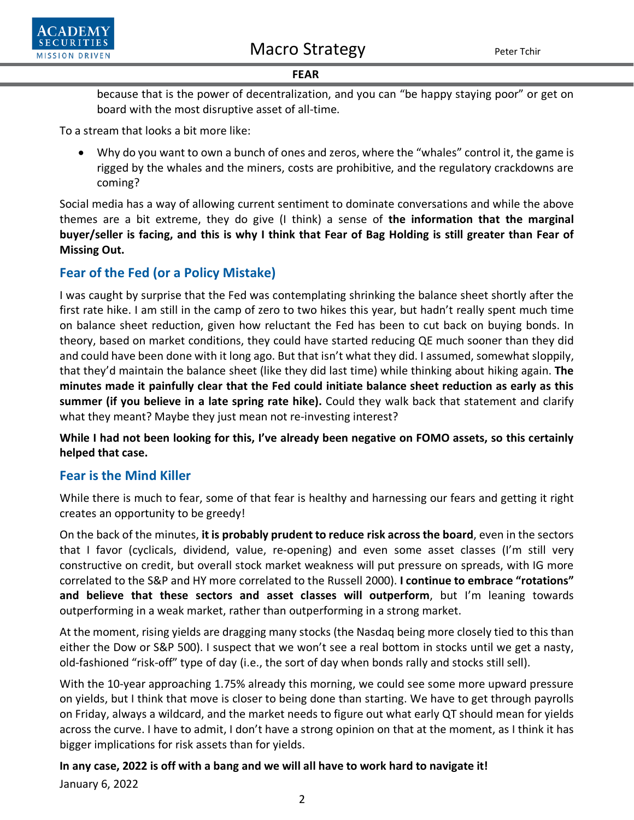

#### *FEAR*

because that is the power of decentralization, and you can "be happy staying poor" or get on board with the most disruptive asset of all-time.

To a stream that looks a bit more like:

• Why do you want to own a bunch of ones and zeros, where the "whales" control it, the game is rigged by the whales and the miners, costs are prohibitive, and the regulatory crackdowns are coming?

Social media has a way of allowing current sentiment to dominate conversations and while the above themes are a bit extreme, they do give (I think) a sense of **the information that the marginal buyer/seller is facing, and this is why I think that Fear of Bag Holding is still greater than Fear of Missing Out.**

## **Fear of the Fed (or a Policy Mistake)**

I was caught by surprise that the Fed was contemplating shrinking the balance sheet shortly after the first rate hike. I am still in the camp of zero to two hikes this year, but hadn't really spent much time on balance sheet reduction, given how reluctant the Fed has been to cut back on buying bonds. In theory, based on market conditions, they could have started reducing QE much sooner than they did and could have been done with it long ago. But that isn't what they did. I assumed, somewhat sloppily, that they'd maintain the balance sheet (like they did last time) while thinking about hiking again. **The minutes made it painfully clear that the Fed could initiate balance sheet reduction as early as this summer (if you believe in a late spring rate hike).** Could they walk back that statement and clarify what they meant? Maybe they just mean not re-investing interest?

**While I had not been looking for this, I've already been negative on FOMO assets, so this certainly helped that case.** 

## **Fear is the Mind Killer**

While there is much to fear, some of that fear is healthy and harnessing our fears and getting it right creates an opportunity to be greedy!

On the back of the minutes, **it is probably prudent to reduce risk across the board**, even in the sectors that I favor (cyclicals, dividend, value, re-opening) and even some asset classes (I'm still very constructive on credit, but overall stock market weakness will put pressure on spreads, with IG more correlated to the S&P and HY more correlated to the Russell 2000). **I continue to embrace "rotations" and believe that these sectors and asset classes will outperform**, but I'm leaning towards outperforming in a weak market, rather than outperforming in a strong market.

At the moment, rising yields are dragging many stocks (the Nasdaq being more closely tied to this than either the Dow or S&P 500). I suspect that we won't see a real bottom in stocks until we get a nasty, old-fashioned "risk-off" type of day (i.e., the sort of day when bonds rally and stocks still sell).

With the 10-year approaching 1.75% already this morning, we could see some more upward pressure on yields, but I think that move is closer to being done than starting. We have to get through payrolls on Friday, always a wildcard, and the market needs to figure out what early QT should mean for yields across the curve. I have to admit, I don't have a strong opinion on that at the moment, as I think it has bigger implications for risk assets than for yields.

# **In any case, 2022 is off with a bang and we will all have to work hard to navigate it!**

January 6, 2022